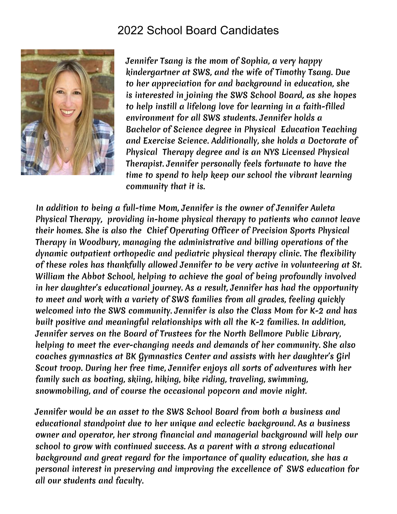## 2022 School Board Candidates



Jennifer Tsang is the mom of Sophia, a very happy kindergartner at SWS, and the wife of Timothy Tsang. Due to her appreciation for and background in education, she is interested in joining the SWS School Board, as she hopes to help instill a lifelong love for learning in a faith-filled environment for all SWS students. Jennifer holds a Bachelor of Science degree in Physical Education Teaching and Exercise Science. Additionally, she holds a Doctorate of Physical Therapy degree and is an NYS Licensed Physical Therapist. Jennifer personally feels fortunate to have the time to spend to help keep our school the vibrant learning community that it is.

In addition to being a full-time Mom, Jennifer is the owner of Jennifer Auleta Physical Therapy, providing in-home physical therapy to patients who cannot leave their homes. She is also the Chief Operating Officer of Precision Sports Physical Therapy in Woodbury, managing the administrative and billing operations of the dynamic outpatient orthopedic and pediatric physical therapy clinic. The flexibility of these roles has thankfully allowed Jennifer to be very active in volunteering at St. William the Abbot School, helping to achieve the goal of being profoundly involved in her daughter's educational journey. As a result, Jennifer has had the opportunity to meet and work with a variety of SWS families from all grades, feeling quickly welcomed into the SWS community. Jennifer is also the Class Mom for K-2 and has built positive and meaningful relationships with all the K-2 families. In addition, Jennifer serves on the Board of Trustees for the North Bellmore Public Library, helping to meet the ever-changing needs and demands of her community. She also coaches gymnastics at BK Gymnastics Center and assists with her daughter's Girl Scout troop. During her free time, Jennifer enjoys all sorts of adventures with her family such as boating, skiing, hiking, bike riding, traveling, swimming, snowmobiling, and of course the occasional popcorn and movie night.

Jennifer would be an asset to the SWS School Board from both a business and educational standpoint due to her unique and eclectic background. As a business owner and operator, her strong financial and managerial background will help our school to grow with continued success. As a parent with a strong educational background and great regard for the importance of quality education, she has a personal interest in preserving and improving the excellence of SWS education for all our students and faculty.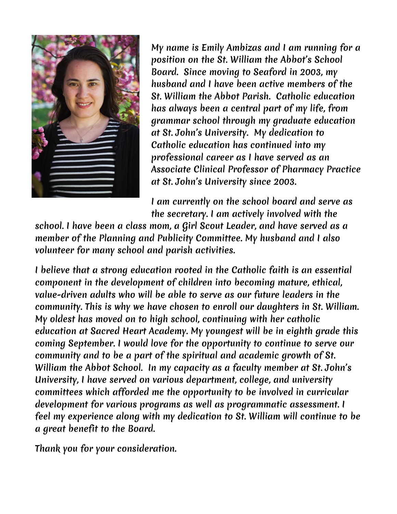

My name is Emily Ambizas and I am running for a position on the St. William the Abbot's School Board. Since moving to Seaford in 2003, my husband and I have been active members of the St. William the Abbot Parish. Catholic education has always been a central part of my life, from grammar school through my graduate education at St. John's University. My dedication to Catholic education has continued into my professional career as I have served as an Associate Clinical Professor of Pharmacy Practice at St. John's University since 2003.

I am currently on the school board and serve as the secretary. I am actively involved with the

school. I have been a class mom, a Girl Scout Leader, and have served as a member of the Planning and Publicity Committee. My husband and I also volunteer for many school and parish activities.

I believe that a strong education rooted in the Catholic faith is an essential component in the development of children into becoming mature, ethical, value-driven adults who will be able to serve as our future leaders in the community. This is why we have chosen to enroll our daughters in St. William. My oldest has moved on to high school, continuing with her catholic education at Sacred Heart Academy. My youngest will be in eighth grade this coming September. I would love for the opportunity to continue to serve our community and to be a part of the spiritual and academic growth of St. William the Abbot School. In my capacity as a faculty member at St. John's University, I have served on various department, college, and university committees which afforded me the opportunity to be involved in curricular development for various programs as well as programmatic assessment. I feel my experience along with my dedication to St. William will continue to be a great benefit to the Board.

Thank you for your consideration.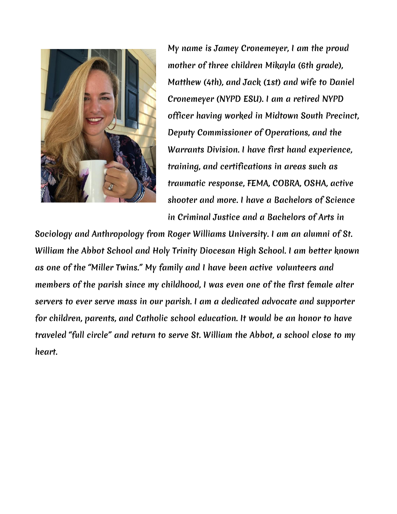

My name is Jamey Cronemeyer, I am the proud mother of three children Mikayla (6th grade), Matthew (4th), and Jack (1st) and wife to Daniel Cronemeyer (NYPD ESU). I am a retired NYPD officer having worked in Midtown South Precinct, Deputy Commissioner of Operations, and the Warrants Division. I have first hand experience, training, and certifications in areas such as traumatic response, FEMA, COBRA, OSHA, active shooter and more. I have a Bachelors of Science in Criminal Justice and a Bachelors of Arts in

Sociology and Anthropology from Roger Williams University. I am an alumni of St. William the Abbot School and Holy Trinity Diocesan High School. I am better known as one of the "Miller Twins." My family and I have been active volunteers and members of the parish since my childhood, I was even one of the first female alter servers to ever serve mass in our parish. I am a dedicated advocate and supporter for children, parents, and Catholic school education. It would be an honor to have traveled "full circle" and return to serve St. William the Abbot, a school close to my heart.